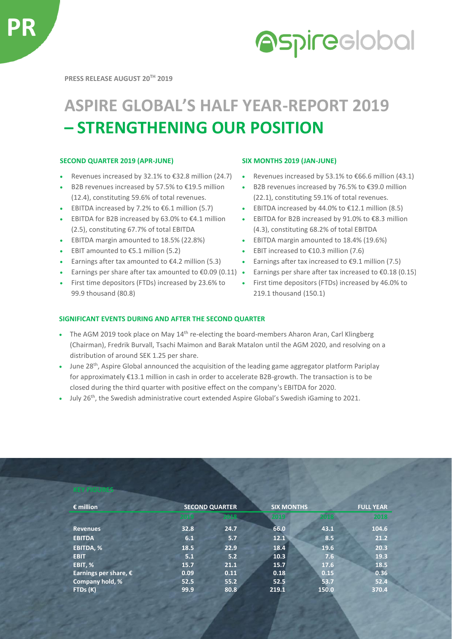

# **Aspireclobal**

**PRESS RELEASE AUGUST 20TH 2019**

## **ASPIRE GLOBAL'S HALF YEAR-REPORT 2019 – STRENGTHENING OUR POSITION**

### **SECOND QUARTER 2019 (APR-JUNE) SIX MONTHS 2019 (JAN-JUNE)**

- 
- B2B revenues increased by 57.5% to €19.5 million (12.4), constituting 59.6% of total revenues.
- 
- EBITDA for B2B increased by 63.0% to €4.1 million (2.5), constituting 67.7% of total EBITDA
- EBITDA margin amounted to 18.5% (22.8%) EBITDA margin amounted to 18.4% (19.6%)
- 
- Earnings after tax amounted to  $€4.2$  million (5.3) Earnings after tax increased to  $€9.1$  million (7.5)
- 
- First time depositors (FTDs) increased by 23.6% to 99.9 thousand (80.8)

- Revenues increased by 32.1% to  $\text{\textsterling}32.8$  million (24.7) . Revenues increased by 53.1% to  $\text{\textsterling}66.6$  million (43.1)
	- B2B revenues increased by 76.5% to €39.0 million (22.1), constituting 59.1% of total revenues.
- EBITDA increased by 7.2% to  $\epsilon$ 6.1 million (5.7) **EBITDA** increased by 44.0% to  $\epsilon$ 12.1 million (8.5)
	- EBITDA for B2B increased by 91.0% to €8.3 million (4.3), constituting 68.2% of total EBITDA
	-
- EBIT amounted to €5.1 million (5.2) EBIT increased to €10.3 million (7.6)
	-
	- Earnings per share after tax amounted to  $\epsilon 0.09 (0.11)$  Earnings per share after tax increased to  $\epsilon 0.18 (0.15)$ 
		- First time depositors (FTDs) increased by 46.0% to 219.1 thousand (150.1)

#### **SIGNIFICANT EVENTS DURING AND AFTER THE SECOND QUARTER**

- The AGM 2019 took place on May  $14<sup>th</sup>$  re-electing the board-members Aharon Aran, Carl Klingberg (Chairman), Fredrik Burvall, Tsachi Maimon and Barak Matalon until the AGM 2020, and resolving on a distribution of around SEK 1.25 per share.
- June 28<sup>th</sup>, Aspire Global announced the acquisition of the leading game aggregator platform Pariplay for approximately €13.1 million in cash in order to accelerate B2B-growth. The transaction is to be closed during the third quarter with positive effect on the company's EBITDA for 2020.
- $\bullet$  July 26<sup>th</sup>, the Swedish administrative court extended Aspire Global's Swedish iGaming to 2021.

| $\epsilon$ million    | <b>SECOND QUARTER</b> |      | <b>SIX MONTHS</b> |       | <b>FULL YEAR</b> |
|-----------------------|-----------------------|------|-------------------|-------|------------------|
|                       | 2019                  | 2018 | me                | ZOTEN | 2018             |
| <b>Revenues</b>       | 32.8                  | 24.7 | 66.0              | 43.1  | 104.6            |
| <b>EBITDA</b>         | 6.1                   | 5.7  | 12.1              | 8.5   | 21.2             |
| <b>EBITDA, %</b>      | 18.5                  | 22.9 | 18.4              | 19.6  | 20.3             |
| <b>EBIT</b>           | 5.1                   | 5.2  | 10.3              | 7.6   | 19.3             |
| EBIT, %               | 15.7                  | 21.1 | 15.7              | 17.6  | 18.5             |
| Earnings per share, € | 0.09                  | 0.11 | 0.18              | 0.15  | 0.36             |
| Company hold, %       | 52.5                  | 55.2 | 52.5              | 53.7  | 52.4             |
| FTDs (K)              | 99.9                  | 80.8 | 219.1             | 150.0 | 370.4            |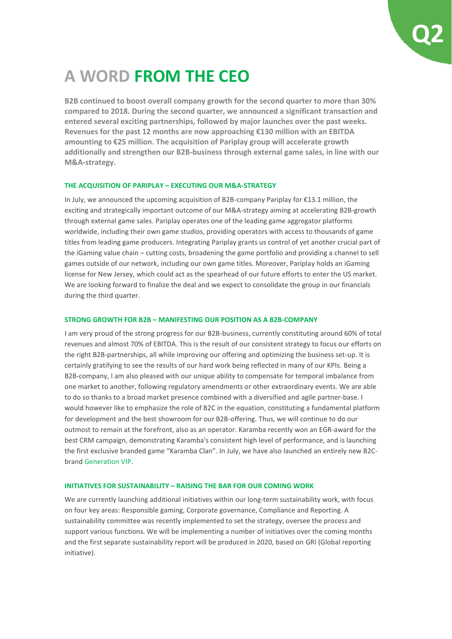

### **A WORD FROM THE CEO**

**B2B continued to boost overall company growth for the second quarter to more than 30% compared to 2018. During the second quarter, we announced a significant transaction and entered several exciting partnerships, followed by major launches over the past weeks. Revenues for the past 12 months are now approaching €130 million with an EBITDA amounting to €25 million. The acquisition of Pariplay group will accelerate growth additionally and strengthen our B2B-business through external game sales, in line with our M&A-strategy.** 

#### **THE ACQUISITION OF PARIPLAY – EXECUTING OUR M&A-STRATEGY**

In July, we announced the upcoming acquisition of B2B-company Pariplay for €13.1 million, the exciting and strategically important outcome of our M&A-strategy aiming at accelerating B2B-growth through external game sales. Pariplay operates one of the leading game aggregator platforms worldwide, including their own game studios, providing operators with access to thousands of game titles from leading game producers. Integrating Pariplay grants us control of yet another crucial part of the iGaming value chain – cutting costs, broadening the game portfolio and providing a channel to sell games outside of our network, including our own game titles. Moreover, Pariplay holds an iGaming license for New Jersey, which could act as the spearhead of our future efforts to enter the US market. We are looking forward to finalize the deal and we expect to consolidate the group in our financials during the third quarter.

#### **STRONG GROWTH FOR B2B – MANIFESTING OUR POSITION AS A B2B-COMPANY**

I am very proud of the strong progress for our B2B-business, currently constituting around 60% of total revenues and almost 70% of EBITDA. This is the result of our consistent strategy to focus our efforts on the right B2B-partnerships, all while improving our offering and optimizing the business set-up. It is certainly gratifying to see the results of our hard work being reflected in many of our KPIs. Being a B2B-company, I am also pleased with our unique ability to compensate for temporal imbalance from one market to another, following regulatory amendments or other extraordinary events. We are able to do so thanks to a broad market presence combined with a diversified and agile partner-base. I would however like to emphasize the role of B2C in the equation, constituting a fundamental platform for development and the best showroom for our B2B-offering. Thus, we will continue to do our outmost to remain at the forefront, also as an operator. Karamba recently won an EGR-award for the best CRM campaign, demonstrating Karamba's consistent high level of performance, and is launching the first exclusive branded game "Karamba Clan". In July, we have also launched an entirely new B2Cbrand [Generation VIP.](http://www.generationvip.com/)

#### **INITIATIVES FOR SUSTAINABILITY – RAISING THE BAR FOR OUR COMING WORK**

We are currently launching additional initiatives within our long-term sustainability work, with focus on four key areas: Responsible gaming, Corporate governance, Compliance and Reporting. A sustainability committee was recently implemented to set the strategy, oversee the process and support various functions. We will be implementing a number of initiatives over the coming months and the first separate sustainability report will be produced in 2020, based on GRI (Global reporting initiative).